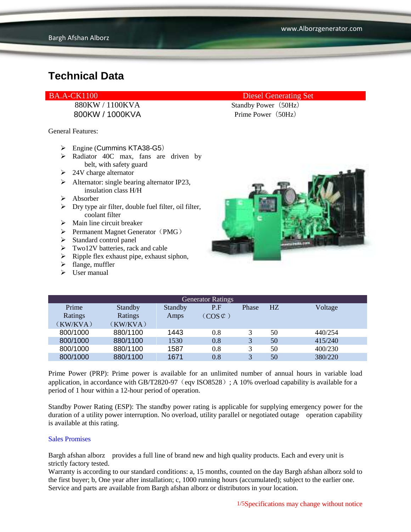880KW / 1100KVA Standby Power (50Hz) 800KW / 1000KVA Prime Power (50Hz)

General Features:

- $\triangleright$  Engine (Cummins KTA38-G5)
- $\triangleright$  Radiator 40C max, fans are driven by belt, with safety guard
- $\geq$  24V charge alternator
- $\triangleright$  Alternator: single bearing alternator IP23, insulation class H/H
- $\triangleright$  Absorber
- $\triangleright$  Dry type air filter, double fuel filter, oil filter, coolant filter
- $\triangleright$  Main line circuit breaker
- $\triangleright$  Permanent Magnet Generator (PMG)
- $\triangleright$  Standard control panel
- $\triangleright$  Two12V batteries, rack and cable
- $\triangleright$  Ripple flex exhaust pipe, exhaust siphon,
- $\blacktriangleright$  flange, muffler
- $\triangleright$  User manual

### BA.A-CK1100 Diesel Generating Set



| <b>Generator Ratings</b> |                |                |                     |       |                |         |
|--------------------------|----------------|----------------|---------------------|-------|----------------|---------|
| Prime                    | <b>Standby</b> | <b>Standby</b> | P.F                 | Phase | H <sub>Z</sub> | Voltage |
| Ratings                  | Ratings        | Amps           | $(COS \mathcal{C})$ |       |                |         |
| (KW/KVA)                 | (KW/KVA)       |                |                     |       |                |         |
| 800/1000                 | 880/1100       | 1443           | 0.8                 | 3     | 50             | 440/254 |
| 800/1000                 | 880/1100       | 1530           | 0.8                 | 3     | 50             | 415/240 |
| 800/1000                 | 880/1100       | 1587           | 0.8                 | 3     | 50             | 400/230 |
| 800/1000                 | 880/1100       | 1671           | 0.8                 | 3     | 50             | 380/220 |

Prime Power (PRP): Prime power is available for an unlimited number of annual hours in variable load application, in accordance with GB/T2820-97 (eqv ISO8528); A 10% overload capability is available for a period of 1 hour within a 12-hour period of operation.

Standby Power Rating (ESP): The standby power rating is applicable for supplying emergency power for the duration of a utility power interruption. No overload, utility parallel or negotiated outage operation capability is available at this rating.

#### Sales Promises

Bargh afshan alborz provides a full line of brand new and high quality products. Each and every unit is strictly factory tested.

Warranty is according to our standard conditions: a, 15 months, counted on the day Bargh afshan alborz sold to the first buyer; b, One year after installation; c, 1000 running hours (accumulated); subject to the earlier one. Service and parts are available from Bargh afshan alborz or distributors in your location.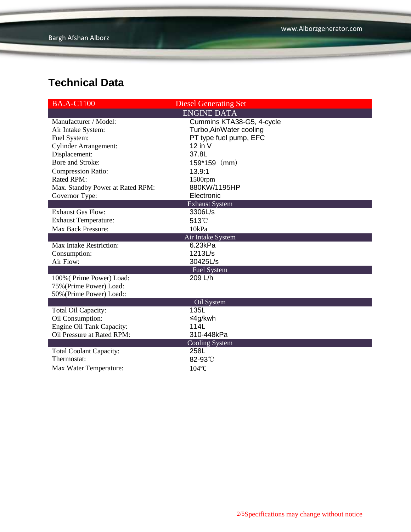| <b>BA.A-C1100</b>                | <b>Diesel Generating Set</b> |  |  |
|----------------------------------|------------------------------|--|--|
|                                  | <b>ENGINE DATA</b>           |  |  |
| Manufacturer / Model:            | Cummins KTA38-G5, 4-cycle    |  |  |
| Air Intake System:               | Turbo, Air/Water cooling     |  |  |
| Fuel System:                     | PT type fuel pump, EFC       |  |  |
| <b>Cylinder Arrangement:</b>     | $12$ in V                    |  |  |
| Displacement:                    | 37.8L                        |  |  |
| Bore and Stroke:                 | 159*159<br>(mm)              |  |  |
| Compression Ratio:               | 13.9:1                       |  |  |
| <b>Rated RPM:</b>                | 1500rpm                      |  |  |
| Max. Standby Power at Rated RPM: | 880KW/1195HP                 |  |  |
| Governor Type:                   | Electronic                   |  |  |
|                                  | <b>Exhaust System</b>        |  |  |
| <b>Exhaust Gas Flow:</b>         | 3306L/s                      |  |  |
| <b>Exhaust Temperature:</b>      | 513°C                        |  |  |
| <b>Max Back Pressure:</b>        | 10kPa                        |  |  |
| Air Intake System                |                              |  |  |
| <b>Max Intake Restriction:</b>   | 6.23kPa                      |  |  |
| Consumption:                     | 1213L/s                      |  |  |
| Air Flow:                        | 30425L/s                     |  |  |
|                                  | <b>Fuel System</b>           |  |  |
| 100% (Prime Power) Load:         | 209 L/h                      |  |  |
| 75% (Prime Power) Load:          |                              |  |  |
| 50% (Prime Power) Load::         |                              |  |  |
|                                  | Oil System                   |  |  |
| Total Oil Capacity:              | 135L                         |  |  |
| Oil Consumption:                 | ≤4g/kwh                      |  |  |
| Engine Oil Tank Capacity:        | 114L                         |  |  |
| Oil Pressure at Rated RPM:       | 310-448kPa                   |  |  |
|                                  | <b>Cooling System</b>        |  |  |
| <b>Total Coolant Capacity:</b>   | 258L                         |  |  |
| Thermostat:                      | 82-93°C                      |  |  |
| Max Water Temperature:           | $104$ °C                     |  |  |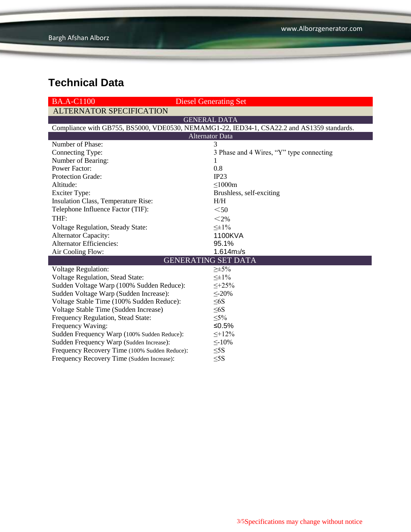| <b>BA.A-C1100</b>                                                                          | <b>Diesel Generating Set</b>             |  |  |  |  |
|--------------------------------------------------------------------------------------------|------------------------------------------|--|--|--|--|
| <b>ALTERNATOR SPECIFICATION</b>                                                            |                                          |  |  |  |  |
| <b>GENERAL DATA</b>                                                                        |                                          |  |  |  |  |
| Compliance with GB755, BS5000, VDE0530, NEMAMG1-22, IED34-1, CSA22.2 and AS1359 standards. |                                          |  |  |  |  |
| <b>Alternator Data</b>                                                                     |                                          |  |  |  |  |
| Number of Phase:                                                                           | 3                                        |  |  |  |  |
| Connecting Type:                                                                           | 3 Phase and 4 Wires, "Y" type connecting |  |  |  |  |
| Number of Bearing:                                                                         | $\mathbf{I}$                             |  |  |  |  |
| <b>Power Factor:</b>                                                                       | 0.8                                      |  |  |  |  |
| Protection Grade:                                                                          | IP23                                     |  |  |  |  |
| Altitude:                                                                                  | $\leq 1000m$                             |  |  |  |  |
| <b>Exciter Type:</b>                                                                       | Brushless, self-exciting                 |  |  |  |  |
| Insulation Class, Temperature Rise:                                                        | H/H                                      |  |  |  |  |
| Telephone Influence Factor (TIF):                                                          | $50$                                     |  |  |  |  |
| THF:                                                                                       | $<$ 2%                                   |  |  |  |  |
| Voltage Regulation, Steady State:                                                          | $\leq \pm 1\%$                           |  |  |  |  |
| Alternator Capacity:                                                                       | 1100KVA                                  |  |  |  |  |
| <b>Alternator Efficiencies:</b>                                                            | 95.1%                                    |  |  |  |  |
| Air Cooling Flow:                                                                          | 1.614m <sub>3</sub> /s                   |  |  |  |  |
|                                                                                            | <b>GENERATING SET DATA</b>               |  |  |  |  |
| <b>Voltage Regulation:</b>                                                                 | $\geq \pm 5\%$                           |  |  |  |  |
| Voltage Regulation, Stead State:                                                           | $\leq \pm 1\%$                           |  |  |  |  |
| Sudden Voltage Warp (100% Sudden Reduce):                                                  | $\leq +25\%$                             |  |  |  |  |
| Sudden Voltage Warp (Sudden Increase):                                                     | $\leq$ -20%                              |  |  |  |  |
| Voltage Stable Time (100% Sudden Reduce):                                                  | $\leq 6S$                                |  |  |  |  |
| Voltage Stable Time (Sudden Increase)                                                      | $\leq 6S$                                |  |  |  |  |
| Frequency Regulation, Stead State:                                                         | $\leq 5\%$                               |  |  |  |  |
| Frequency Waving:                                                                          | $≤0.5%$                                  |  |  |  |  |
| Sudden Frequency Warp (100% Sudden Reduce):                                                | $\leq +12\%$                             |  |  |  |  |
| Sudden Frequency Warp (Sudden Increase):                                                   | $\leq$ -10%                              |  |  |  |  |
| Frequency Recovery Time (100% Sudden Reduce):                                              | $\leq$ 5S                                |  |  |  |  |
| Frequency Recovery Time (Sudden Increase):                                                 | $\leq$ 5S                                |  |  |  |  |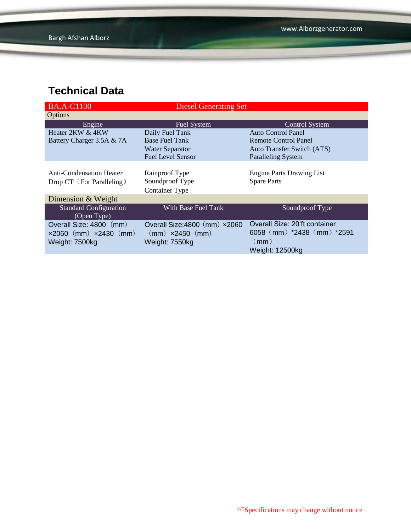| <b>BA.A-C1100</b>                            | <b>Diesel Generating Set</b>            |                                   |
|----------------------------------------------|-----------------------------------------|-----------------------------------|
| Options                                      |                                         |                                   |
| Engine                                       | <b>Fuel System</b>                      | <b>Control System</b>             |
| Heater 2KW & 4KW                             | Daily Fuel Tank                         | <b>Auto Control Panel</b>         |
| Battery Charger 3.5A & 7A                    | <b>Base Fuel Tank</b>                   | Remote Control Panel              |
|                                              | <b>Water Separator</b>                  | <b>Auto Transfer Switch (ATS)</b> |
|                                              | <b>Fuel Level Sensor</b>                | <b>Paralleling System</b>         |
|                                              |                                         |                                   |
| <b>Anti-Condensation Heater</b>              | Rainproof Type                          | <b>Engine Parts Drawing List</b>  |
| Drop CT (For Paralleling)                    | Soundproof Type                         | <b>Spare Parts</b>                |
|                                              | <b>Container Type</b>                   |                                   |
| Dimension & Weight                           |                                         |                                   |
| <b>Standard Configuration</b><br>(Open Type) | With Base Fuel Tank                     | Soundproof Type                   |
| Overall Size: 4800 (mm)                      | Overall Size: $4800$ (mm) $\times 2060$ | Overall Size: 20'ft container     |
|                                              |                                         | 6058 (mm) *2438 (mm) *2591        |
| $\times 2060$ (mm) $\times 2430$ (mm)        | $(mm) \times 2450$ $(mm)$               |                                   |
| Weight: 7500kg                               | Weight: 7550kg                          | (mm)                              |
|                                              |                                         | <b>Weight: 12500kg</b>            |